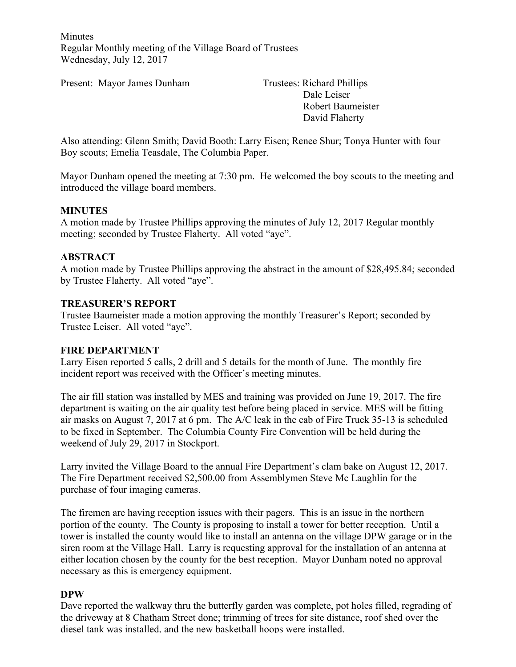Minutes Regular Monthly meeting of the Village Board of Trustees Wednesday, July 12, 2017

Present: Mayor James Dunham Trustees: Richard Phillips

Dale Leiser Robert Baumeister David Flaherty

Also attending: Glenn Smith; David Booth: Larry Eisen; Renee Shur; Tonya Hunter with four Boy scouts; Emelia Teasdale, The Columbia Paper.

Mayor Dunham opened the meeting at 7:30 pm. He welcomed the boy scouts to the meeting and introduced the village board members.

#### **MINUTES**

A motion made by Trustee Phillips approving the minutes of July 12, 2017 Regular monthly meeting; seconded by Trustee Flaherty. All voted "aye".

### **ABSTRACT**

A motion made by Trustee Phillips approving the abstract in the amount of \$28,495.84; seconded by Trustee Flaherty. All voted "aye".

#### **TREASURER'S REPORT**

Trustee Baumeister made a motion approving the monthly Treasurer's Report; seconded by Trustee Leiser. All voted "aye".

#### **FIRE DEPARTMENT**

Larry Eisen reported 5 calls, 2 drill and 5 details for the month of June. The monthly fire incident report was received with the Officer's meeting minutes.

The air fill station was installed by MES and training was provided on June 19, 2017. The fire department is waiting on the air quality test before being placed in service. MES will be fitting air masks on August 7, 2017 at 6 pm. The A/C leak in the cab of Fire Truck 35-13 is scheduled to be fixed in September. The Columbia County Fire Convention will be held during the weekend of July 29, 2017 in Stockport.

Larry invited the Village Board to the annual Fire Department's clam bake on August 12, 2017. The Fire Department received \$2,500.00 from Assemblymen Steve Mc Laughlin for the purchase of four imaging cameras.

The firemen are having reception issues with their pagers. This is an issue in the northern portion of the county. The County is proposing to install a tower for better reception. Until a tower is installed the county would like to install an antenna on the village DPW garage or in the siren room at the Village Hall. Larry is requesting approval for the installation of an antenna at either location chosen by the county for the best reception. Mayor Dunham noted no approval necessary as this is emergency equipment.

#### **DPW**

Dave reported the walkway thru the butterfly garden was complete, pot holes filled, regrading of the driveway at 8 Chatham Street done; trimming of trees for site distance, roof shed over the diesel tank was installed, and the new basketball hoops were installed.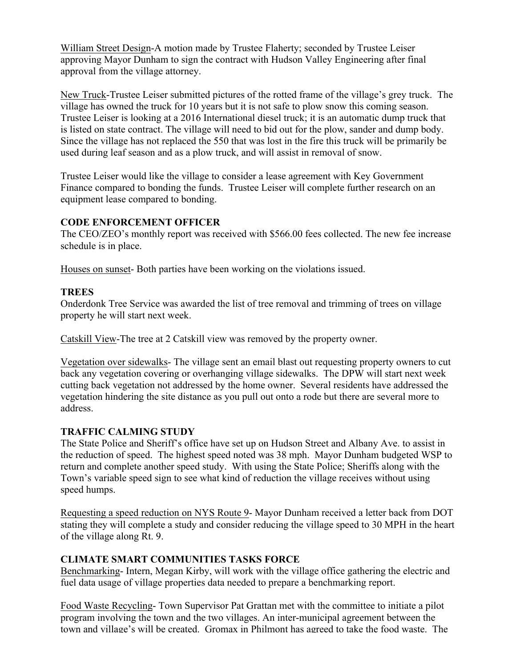William Street Design-A motion made by Trustee Flaherty; seconded by Trustee Leiser approving Mayor Dunham to sign the contract with Hudson Valley Engineering after final approval from the village attorney.

New Truck-Trustee Leiser submitted pictures of the rotted frame of the village's grey truck. The village has owned the truck for 10 years but it is not safe to plow snow this coming season. Trustee Leiser is looking at a 2016 International diesel truck; it is an automatic dump truck that is listed on state contract. The village will need to bid out for the plow, sander and dump body. Since the village has not replaced the 550 that was lost in the fire this truck will be primarily be used during leaf season and as a plow truck, and will assist in removal of snow.

Trustee Leiser would like the village to consider a lease agreement with Key Government Finance compared to bonding the funds. Trustee Leiser will complete further research on an equipment lease compared to bonding.

## **CODE ENFORCEMENT OFFICER**

The CEO/ZEO's monthly report was received with \$566.00 fees collected. The new fee increase schedule is in place.

Houses on sunset- Both parties have been working on the violations issued.

# **TREES**

Onderdonk Tree Service was awarded the list of tree removal and trimming of trees on village property he will start next week.

Catskill View-The tree at 2 Catskill view was removed by the property owner.

Vegetation over sidewalks- The village sent an email blast out requesting property owners to cut back any vegetation covering or overhanging village sidewalks. The DPW will start next week cutting back vegetation not addressed by the home owner. Several residents have addressed the vegetation hindering the site distance as you pull out onto a rode but there are several more to address.

# **TRAFFIC CALMING STUDY**

The State Police and Sheriff's office have set up on Hudson Street and Albany Ave. to assist in the reduction of speed. The highest speed noted was 38 mph. Mayor Dunham budgeted WSP to return and complete another speed study. With using the State Police; Sheriffs along with the Town's variable speed sign to see what kind of reduction the village receives without using speed humps.

Requesting a speed reduction on NYS Route 9- Mayor Dunham received a letter back from DOT stating they will complete a study and consider reducing the village speed to 30 MPH in the heart of the village along Rt. 9.

# **CLIMATE SMART COMMUNITIES TASKS FORCE**

Benchmarking- Intern, Megan Kirby, will work with the village office gathering the electric and fuel data usage of village properties data needed to prepare a benchmarking report.

Food Waste Recycling- Town Supervisor Pat Grattan met with the committee to initiate a pilot program involving the town and the two villages. An inter-municipal agreement between the town and village's will be created. Gromax in Philmont has agreed to take the food waste. The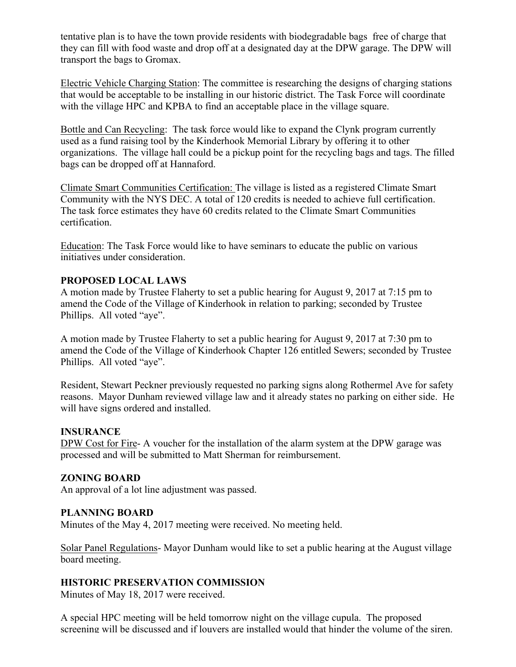tentative plan is to have the town provide residents with biodegradable bags free of charge that they can fill with food waste and drop off at a designated day at the DPW garage. The DPW will transport the bags to Gromax.

Electric Vehicle Charging Station: The committee is researching the designs of charging stations that would be acceptable to be installing in our historic district. The Task Force will coordinate with the village HPC and KPBA to find an acceptable place in the village square.

Bottle and Can Recycling: The task force would like to expand the Clynk program currently used as a fund raising tool by the Kinderhook Memorial Library by offering it to other organizations. The village hall could be a pickup point for the recycling bags and tags. The filled bags can be dropped off at Hannaford.

Climate Smart Communities Certification: The village is listed as a registered Climate Smart Community with the NYS DEC. A total of 120 credits is needed to achieve full certification. The task force estimates they have 60 credits related to the Climate Smart Communities certification.

Education: The Task Force would like to have seminars to educate the public on various initiatives under consideration.

## **PROPOSED LOCAL LAWS**

A motion made by Trustee Flaherty to set a public hearing for August 9, 2017 at 7:15 pm to amend the Code of the Village of Kinderhook in relation to parking; seconded by Trustee Phillips. All voted "aye".

A motion made by Trustee Flaherty to set a public hearing for August 9, 2017 at 7:30 pm to amend the Code of the Village of Kinderhook Chapter 126 entitled Sewers; seconded by Trustee Phillips. All voted "aye".

Resident, Stewart Peckner previously requested no parking signs along Rothermel Ave for safety reasons. Mayor Dunham reviewed village law and it already states no parking on either side. He will have signs ordered and installed.

#### **INSURANCE**

DPW Cost for Fire- A voucher for the installation of the alarm system at the DPW garage was processed and will be submitted to Matt Sherman for reimbursement.

#### **ZONING BOARD**

An approval of a lot line adjustment was passed.

#### **PLANNING BOARD**

Minutes of the May 4, 2017 meeting were received. No meeting held.

Solar Panel Regulations- Mayor Dunham would like to set a public hearing at the August village board meeting.

#### **HISTORIC PRESERVATION COMMISSION**

Minutes of May 18, 2017 were received.

A special HPC meeting will be held tomorrow night on the village cupula. The proposed screening will be discussed and if louvers are installed would that hinder the volume of the siren.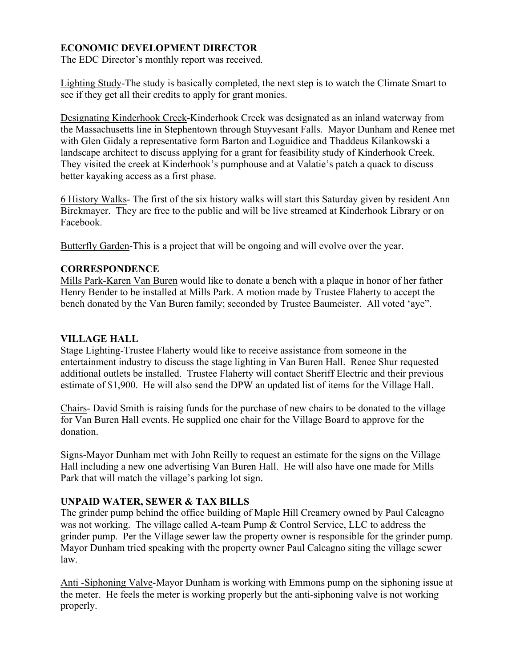## **ECONOMIC DEVELOPMENT DIRECTOR**

The EDC Director's monthly report was received.

Lighting Study-The study is basically completed, the next step is to watch the Climate Smart to see if they get all their credits to apply for grant monies.

Designating Kinderhook Creek-Kinderhook Creek was designated as an inland waterway from the Massachusetts line in Stephentown through Stuyvesant Falls. Mayor Dunham and Renee met with Glen Gidaly a representative form Barton and Loguidice and Thaddeus Kilankowski a landscape architect to discuss applying for a grant for feasibility study of Kinderhook Creek. They visited the creek at Kinderhook's pumphouse and at Valatie's patch a quack to discuss better kayaking access as a first phase.

6 History Walks- The first of the six history walks will start this Saturday given by resident Ann Birckmayer. They are free to the public and will be live streamed at Kinderhook Library or on Facebook.

Butterfly Garden-This is a project that will be ongoing and will evolve over the year.

#### **CORRESPONDENCE**

Mills Park-Karen Van Buren would like to donate a bench with a plaque in honor of her father Henry Bender to be installed at Mills Park. A motion made by Trustee Flaherty to accept the bench donated by the Van Buren family; seconded by Trustee Baumeister. All voted 'aye".

### **VILLAGE HALL**

Stage Lighting-Trustee Flaherty would like to receive assistance from someone in the entertainment industry to discuss the stage lighting in Van Buren Hall. Renee Shur requested additional outlets be installed. Trustee Flaherty will contact Sheriff Electric and their previous estimate of \$1,900. He will also send the DPW an updated list of items for the Village Hall.

Chairs- David Smith is raising funds for the purchase of new chairs to be donated to the village for Van Buren Hall events. He supplied one chair for the Village Board to approve for the donation.

Signs-Mayor Dunham met with John Reilly to request an estimate for the signs on the Village Hall including a new one advertising Van Buren Hall. He will also have one made for Mills Park that will match the village's parking lot sign.

## **UNPAID WATER, SEWER & TAX BILLS**

The grinder pump behind the office building of Maple Hill Creamery owned by Paul Calcagno was not working. The village called A-team Pump & Control Service, LLC to address the grinder pump. Per the Village sewer law the property owner is responsible for the grinder pump. Mayor Dunham tried speaking with the property owner Paul Calcagno siting the village sewer law.

Anti -Siphoning Valve-Mayor Dunham is working with Emmons pump on the siphoning issue at the meter. He feels the meter is working properly but the anti-siphoning valve is not working properly.